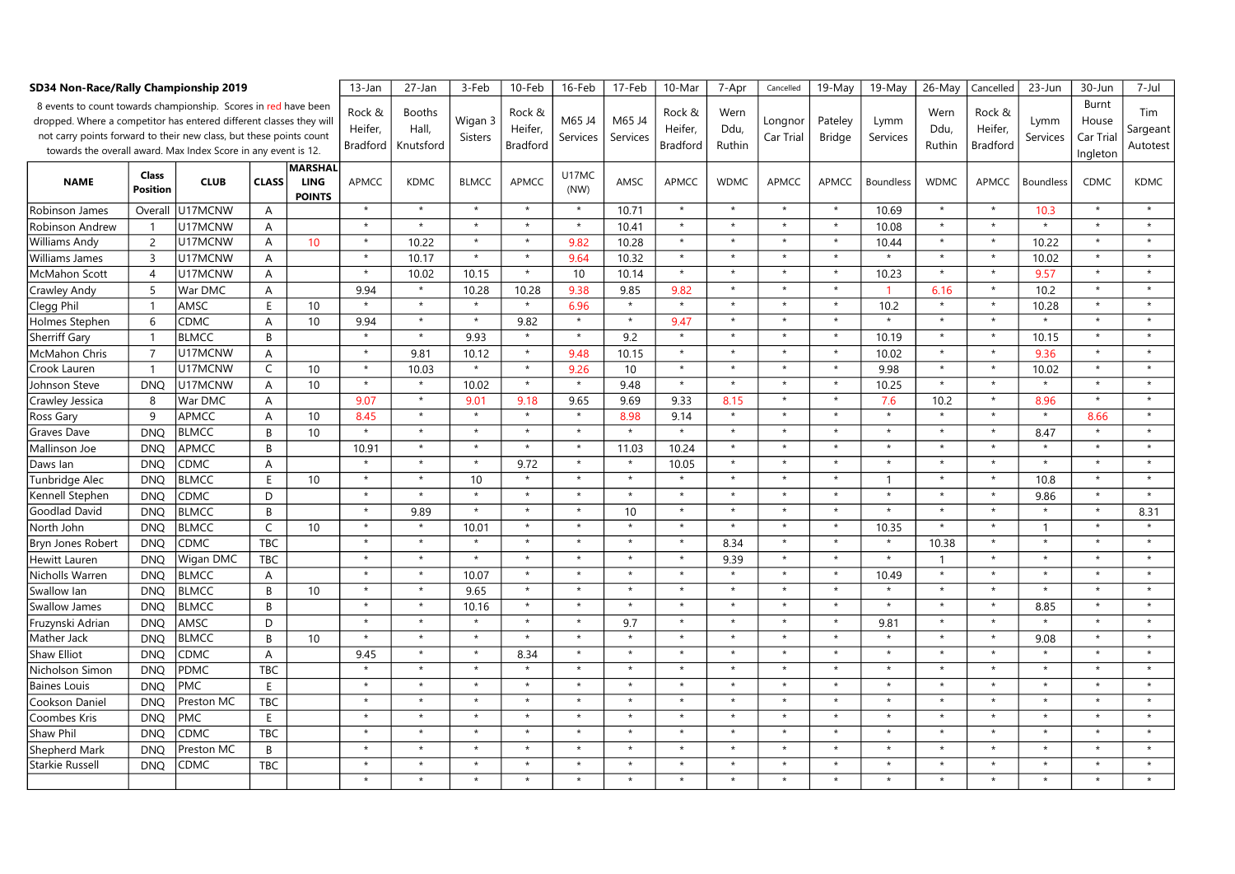| SD34 Non-Race/Rally Championship 2019                                                                                                                                                                                                                                                             | $13$ -Jan                | 27-Jan       | 3-Feb          | 10-Feb                       | 16-Feb                        | 17-Feb                              | 10-Mar                    | 7-Apr                                | Cancelled          | 19-May             | 19-May                               | 26-May                 | Cancelled            | 23-Jun                   | 30-Jun           | 7-Jul                  |                                      |                  |                                         |                             |
|---------------------------------------------------------------------------------------------------------------------------------------------------------------------------------------------------------------------------------------------------------------------------------------------------|--------------------------|--------------|----------------|------------------------------|-------------------------------|-------------------------------------|---------------------------|--------------------------------------|--------------------|--------------------|--------------------------------------|------------------------|----------------------|--------------------------|------------------|------------------------|--------------------------------------|------------------|-----------------------------------------|-----------------------------|
| 8 events to count towards championship. Scores in red have been<br>dropped. Where a competitor has entered different classes they will<br>not carry points forward to their new class, but these points count<br>towards the overall award. Max Index Score in any event is 12.<br><b>MARSHAL</b> |                          |              |                |                              | Rock &<br>Heifer.<br>Bradford | <b>Booths</b><br>Hall,<br>Knutsford | Wigan 3<br><b>Sisters</b> | Rock &<br>Heifer,<br><b>Bradford</b> | M65 J4<br>Services | M65 J4<br>Services | Rock &<br>Heifer,<br><b>Bradford</b> | Wern<br>Ddu,<br>Ruthin | Longnor<br>Car Trial | Pateley<br><b>Bridge</b> | Lymm<br>Services | Wern<br>Ddu,<br>Ruthin | Rock &<br>Heifer,<br><b>Bradford</b> | Lymm<br>Services | Burnt<br>House<br>Car Trial<br>Ingleton | Tim<br>Sargeant<br>Autotest |
| <b>NAME</b>                                                                                                                                                                                                                                                                                       | Class<br><b>Position</b> | <b>CLUB</b>  | <b>CLASS</b>   | <b>LING</b><br><b>POINTS</b> | <b>APMCC</b>                  | <b>KDMC</b>                         | <b>BLMCC</b>              | <b>APMCC</b>                         | U17MC<br>(NW)      | AMSC               | <b>APMCC</b>                         | <b>WDMC</b>            | APMCC                | APMCC                    | <b>Boundless</b> | <b>WDMC</b>            | APMCC                                | <b>Boundless</b> | <b>CDMC</b>                             | <b>KDMC</b>                 |
| Robinson James                                                                                                                                                                                                                                                                                    | Overall                  | U17MCNW      | $\overline{A}$ |                              | $\star$                       | $\star$                             | $\star$                   | $^\star$                             | $\star$            | 10.71              | $\star$                              | $\star$                | $\star$              |                          | 10.69            | $\star$                | $\star$                              | 10.3             |                                         | $^\star$                    |
| Robinson Andrew                                                                                                                                                                                                                                                                                   | $\mathbf{1}$             | U17MCNW      | A              |                              | $\star$                       | $\star$                             | $\star$                   | $\star$                              | $\star$            | 10.41              | $\star$                              | $\star$                | $\star$              | $\star$                  | 10.08            | $\star$                | $\star$                              | $\star$          | $\star$                                 | $\star$                     |
| Williams Andy                                                                                                                                                                                                                                                                                     | $\overline{2}$           | U17MCNW      | Α              | 10                           | $\star$                       | 10.22                               | $\star$                   | $\star$                              | 9.82               | 10.28              | $\star$                              | $\star$                | $\star$              | $\star$                  | 10.44            | $\star$                |                                      | 10.22            | $\star$                                 | $\star$                     |
| Williams James                                                                                                                                                                                                                                                                                    | $\overline{3}$           | U17MCNW      | Α              |                              | $\star$                       | 10.17                               | $\star$                   | $\star$                              | 9.64               | 10.32              | $\star$                              | $\star$                | $\star$              | $\star$                  |                  | $\star$                | $\star$                              | 10.02            | $\star$                                 | $\star$                     |
| McMahon Scott                                                                                                                                                                                                                                                                                     | $\overline{4}$           | U17MCNW      | A              |                              | $\star$                       | 10.02                               | 10.15                     | $\star$                              | 10                 | 10.14              | $\star$                              | $\star$                | $\star$              | $\star$                  | 10.23            | $\star$                | $\star$                              | 9.57             | $\star$                                 | $\star$                     |
| Crawley Andy                                                                                                                                                                                                                                                                                      | 5                        | War DMC      | A              |                              | 9.94                          | $\star$                             | 10.28                     | 10.28                                | 9.38               | 9.85               | 9.82                                 | $\star$                | $\star$              | $\star$                  |                  | 6.16                   | $\star$                              | 10.2             | $\star$                                 | $\star$                     |
| Clegg Phil                                                                                                                                                                                                                                                                                        | $\mathbf{1}$             | AMSC         | E              | 10                           |                               | $\star$                             | $\star$                   | $\star$                              | 6.96               | $\star$            | $\star$                              | $\star$                | $\star$              | $\star$                  | 10.2             | $\star$                | $\star$                              | 10.28            | $\star$                                 | $\star$                     |
| Holmes Stephen                                                                                                                                                                                                                                                                                    | 6                        | <b>CDMC</b>  | A              | 10                           | 9.94                          | $\star$                             | $\star$                   | 9.82                                 | $\star$            | $\star$            | 9.47                                 | $\star$                | $\star$              | $\star$                  | $\star$          | $\star$                | $\star$                              | $\star$          | $\star$                                 | $\star$                     |
| <b>Sherriff Gary</b>                                                                                                                                                                                                                                                                              | $\mathbf{1}$             | <b>BLMCC</b> | B              |                              | $\star$                       | $\star$                             | 9.93                      | $\star$                              | $\star$            | 9.2                | $\star$                              |                        | $\star$              | $\star$                  | 10.19            | $\star$                |                                      | 10.15            | $\star$                                 | $\star$                     |
| McMahon Chris                                                                                                                                                                                                                                                                                     | $\overline{7}$           | U17MCNW      | Α              |                              | $\star$                       | 9.81                                | 10.12                     | $\star$                              | 9.48               | 10.15              | $\star$                              | $\star$                | $\star$              | $\star$                  | 10.02            | $\star$                | $\star$                              | 9.36             | $\star$                                 | $\star$                     |
| Crook Lauren                                                                                                                                                                                                                                                                                      | $\mathbf{1}$             | U17MCNW      | C              | 10                           | $\star$                       | 10.03                               | $\star$                   | $\star$                              | 9.26               | 10                 | $\star$                              | $\star$                | $\star$              | $\star$                  | 9.98             | $\star$                | $\star$                              | 10.02            | $\star$                                 | $\star$                     |
| Johnson Steve                                                                                                                                                                                                                                                                                     | <b>DNO</b>               | U17MCNW      | A              | 10                           | $\star$                       | $\star$                             | 10.02                     | $\star$                              | $\star$            | 9.48               | $\star$                              | $\star$                | $\star$              | $\star$                  | 10.25            | $\star$                |                                      | $\star$          | $\star$                                 | $\star$                     |
| Crawley Jessica                                                                                                                                                                                                                                                                                   | 8                        | War DMC      | A              |                              | 9.07                          | $\star$                             | 9.01                      | 9.18                                 | 9.65               | 9.69               | 9.33                                 | 8.15                   | $\star$              | $\star$                  | 7.6              | 10.2                   | $\star$                              | 8.96             | $^\star$                                | $\star$                     |
| Ross Gary                                                                                                                                                                                                                                                                                         | 9                        | <b>APMCC</b> | A              | 10                           | 8.45                          | $\star$                             | $\star$                   | $\star$                              | $\star$            | 8.98               | 9.14                                 | $\star$                | $\star$              | $\star$                  | $\star$          | $\star$                | $\star$                              | $\star$          | 8.66                                    | $\star$                     |
| Graves Dave                                                                                                                                                                                                                                                                                       | <b>DNO</b>               | <b>BLMCC</b> | B              | 10                           | $\star$                       | $\star$                             | $\star$                   | $\star$                              | $\star$            | $\star$            | $\star$                              | $\star$                | $\star$              | $\star$                  | $\star$          | $\star$                |                                      | 8.47             | $\star$                                 | $\star$                     |
| Mallinson Joe                                                                                                                                                                                                                                                                                     | <b>DNQ</b>               | APMCC        | B              |                              | 10.91                         | $\star$                             | $\star$                   | $\star$                              | $\star$            | 11.03              | 10.24                                | $\star$                | $\star$              | $\star$                  | $\star$          | $\star$                | $\star$                              | $\star$          | $\star$                                 | $^\star$                    |
| Daws lan                                                                                                                                                                                                                                                                                          | <b>DNQ</b>               | <b>CDMC</b>  | A              |                              | $\star$                       | $\star$                             | $\star$                   | 9.72                                 | $\star$            | $\star$            | 10.05                                | $\star$                | $\star$              | $\star$                  | $\star$          | $\star$                | $\star$                              | $\star$          | $\star$                                 | $\star$                     |
| Tunbridge Alec                                                                                                                                                                                                                                                                                    | <b>DNQ</b>               | <b>BLMCC</b> | E              | 10                           | $\star$                       | $\star$                             | 10                        | $\star$                              |                    | $\star$            | $\star$                              | $\star$                | $\star$              |                          | $\mathbf{1}$     | $\star$                |                                      | 10.8             | $\star$                                 | $\star$                     |
| Kennell Stephen                                                                                                                                                                                                                                                                                   | <b>DNQ</b>               | CDMC         | D              |                              | $\star$                       | $\star$                             | $\star$                   | $\star$                              | $\star$            | $\star$            | $\star$                              | $\star$                | $\star$              | $\star$                  | $\star$          | $\star$                | $\star$                              | 9.86             | $\star$                                 | $\star$                     |
| <b>Goodlad David</b>                                                                                                                                                                                                                                                                              | <b>DNO</b>               | <b>BLMCC</b> | B              |                              | $\star$                       | 9.89                                | $\star$                   | $\star$                              | $\star$            | 10                 | $\star$                              | $\star$                | $\star$              | $\star$                  | $\star$          | $\star$                | $\star$                              | $\star$          | $\star$                                 | 8.31                        |
| North John                                                                                                                                                                                                                                                                                        | <b>DNO</b>               | <b>BLMCC</b> | C              | 10                           | $\star$                       | $\star$                             | 10.01                     | $\star$                              |                    | $\star$            | $\star$                              | $\star$                | $\star$              | $\star$                  | 10.35            | $\star$                |                                      | $\mathbf{1}$     | $\star$                                 | $\star$                     |
| Bryn Jones Robert                                                                                                                                                                                                                                                                                 | <b>DNQ</b>               | CDMC         | <b>TBC</b>     |                              | $\star$                       | $\star$                             | $\star$                   | $^\star$                             | $\star$            | $\star$            | $\star$                              | 8.34                   | $\star$              | $\star$                  | $\star$          | 10.38                  | $\star$                              | $\star$          |                                         | $\star$                     |
| Hewitt Lauren                                                                                                                                                                                                                                                                                     | <b>DNQ</b>               | Wigan DMC    | <b>TBC</b>     |                              | $\star$                       | $\star$                             | $\star$                   | $\star$                              | $\star$            | $\star$            | $\star$                              | 9.39                   | $\star$              | $\star$                  | $\star$          | $\overline{1}$         | $\star$                              | $\star$          | $\star$                                 | $\star$                     |
| Nicholls Warren                                                                                                                                                                                                                                                                                   | <b>DNQ</b>               | <b>BLMCC</b> | A              |                              | $\star$                       | $\star$                             | 10.07                     | $\star$                              |                    | $\star$            | $\star$                              |                        | $\star$              | $\star$                  | 10.49            | $\star$                |                                      | $\star$          |                                         | $\star$                     |
| Swallow lan                                                                                                                                                                                                                                                                                       | <b>DNQ</b>               | <b>BLMCC</b> | B              | 10                           | $\star$                       | $\star$                             | 9.65                      | $\star$                              | $\star$            | $\star$            | $\star$                              | $\star$                | $\star$              | $\star$                  |                  | $\star$                |                                      | $\star$          | $\star$                                 | $\star$                     |
| <b>Swallow James</b>                                                                                                                                                                                                                                                                              | <b>DNO</b>               | <b>BLMCC</b> | B              |                              | $\star$                       | $\star$                             | 10.16                     | $\star$                              | $\star$            | $\star$            | $\star$                              | $\star$                | $\star$              | $\star$                  | $\star$          | $\star$                | $\star$                              | 8.85             | $\star$                                 | $\star$                     |
| Fruzynski Adrian                                                                                                                                                                                                                                                                                  | <b>DNO</b>               | AMSC         | D              |                              | $\star$                       | $\star$                             | $\star$                   | $\star$                              |                    | 9.7                | $\star$                              | $\star$                | $\star$              | $\star$                  | 9.81             | $\star$                |                                      | $\star$          |                                         | $\star$                     |
| Mather Jack                                                                                                                                                                                                                                                                                       | <b>DNQ</b>               | <b>BLMCC</b> | B              | 10                           | $\star$                       | $\star$                             | $\star$                   | $\star$                              | $\star$            | $\star$            | $\star$                              | $\star$                | $\star$              | $\star$                  | $\star$          | $\star$                | $\star$                              | 9.08             | $\star$                                 | $\star$                     |
| <b>Shaw Elliot</b>                                                                                                                                                                                                                                                                                | <b>DNQ</b>               | CDMC         | A              |                              | 9.45                          | $\star$                             | $\star$                   | 8.34                                 | $\star$            | $\star$            | $\star$                              | $\star$                | $\star$              | $\star$                  | $\star$          | $\star$                | $\star$                              | $\star$          | $\star$                                 | $\star$                     |
| Nicholson Simon                                                                                                                                                                                                                                                                                   | <b>DNQ</b>               | PDMC         | <b>TBC</b>     |                              | $\star$                       | $\star$                             | $\star$                   | $\star$                              |                    | $\star$            | $\star$                              | $\star$                | $\star$              |                          | $\star$          | $\star$                |                                      | $\star$          | $\star$                                 | $\star$                     |
| <b>Baines Louis</b>                                                                                                                                                                                                                                                                               | <b>DNQ</b>               | <b>PMC</b>   | E              |                              | $\star$                       | $\star$                             | $\star$                   | $\star$                              | $\star$            | $\star$            | $\star$                              | $\star$                | $\star$              | $\star$                  | $\star$          | $\star$                | $\star$                              | $\star$          | $\star$                                 | $\star$                     |
| Cookson Daniel                                                                                                                                                                                                                                                                                    | <b>DNO</b>               | Preston MC   | <b>TBC</b>     |                              | $\star$                       | $\star$                             | $\star$                   | $\star$                              | $\star$            | $\star$            | $\star$                              | $\star$                | $\star$              | $\star$                  | $\star$          | $\star$                | $\star$                              | $\star$          | $\star$                                 | $\star$                     |
| Coombes Kris                                                                                                                                                                                                                                                                                      | <b>DNO</b>               | <b>PMC</b>   | E              |                              | $\star$                       | $\pmb{\star}$                       | $\star$                   | $\star$                              |                    | $\star$            | $\star$                              | $\star$                | $\star$              |                          | $\star$          | $\star$                |                                      | $\star$          |                                         | $\star$                     |
| Shaw Phil                                                                                                                                                                                                                                                                                         | <b>DNO</b>               | CDMC         | <b>TBC</b>     |                              | $\star$                       | $\star$                             | $\star$                   | $\star$                              | $\star$            | $\star$            | $\star$                              | $\star$                | $\star$              | $\star$                  | $\star$          | $\star$                |                                      | $\star$          | $\star$                                 | $\star$                     |
| Shepherd Mark                                                                                                                                                                                                                                                                                     | <b>DNQ</b>               | Preston MC   | B              |                              | $\star$                       | $\star$                             | $\star$                   | $\star$                              | $\star$            | $\star$            | $\star$                              | $\star$                | $\star$              | $\star$                  | $\star$          | $\star$                | $\star$                              | $\star$          | $\star$                                 | $\star$                     |
| Starkie Russel                                                                                                                                                                                                                                                                                    | <b>DNQ</b>               | CDMC         | <b>TBC</b>     |                              | $\star$                       | $\star$                             | $\star$                   | $\star$                              |                    | $\star$            | $\star$                              | $\star$                | $\star$              |                          | $\star$          | $\star$                |                                      | $\star$          | $\star$                                 | $\star$                     |
|                                                                                                                                                                                                                                                                                                   |                          |              |                |                              | $\star$                       | $\star$                             |                           | $\star$                              |                    | $\star$            | $\star$                              |                        |                      |                          | $\star$          |                        |                                      | $\star$          | $\star$                                 |                             |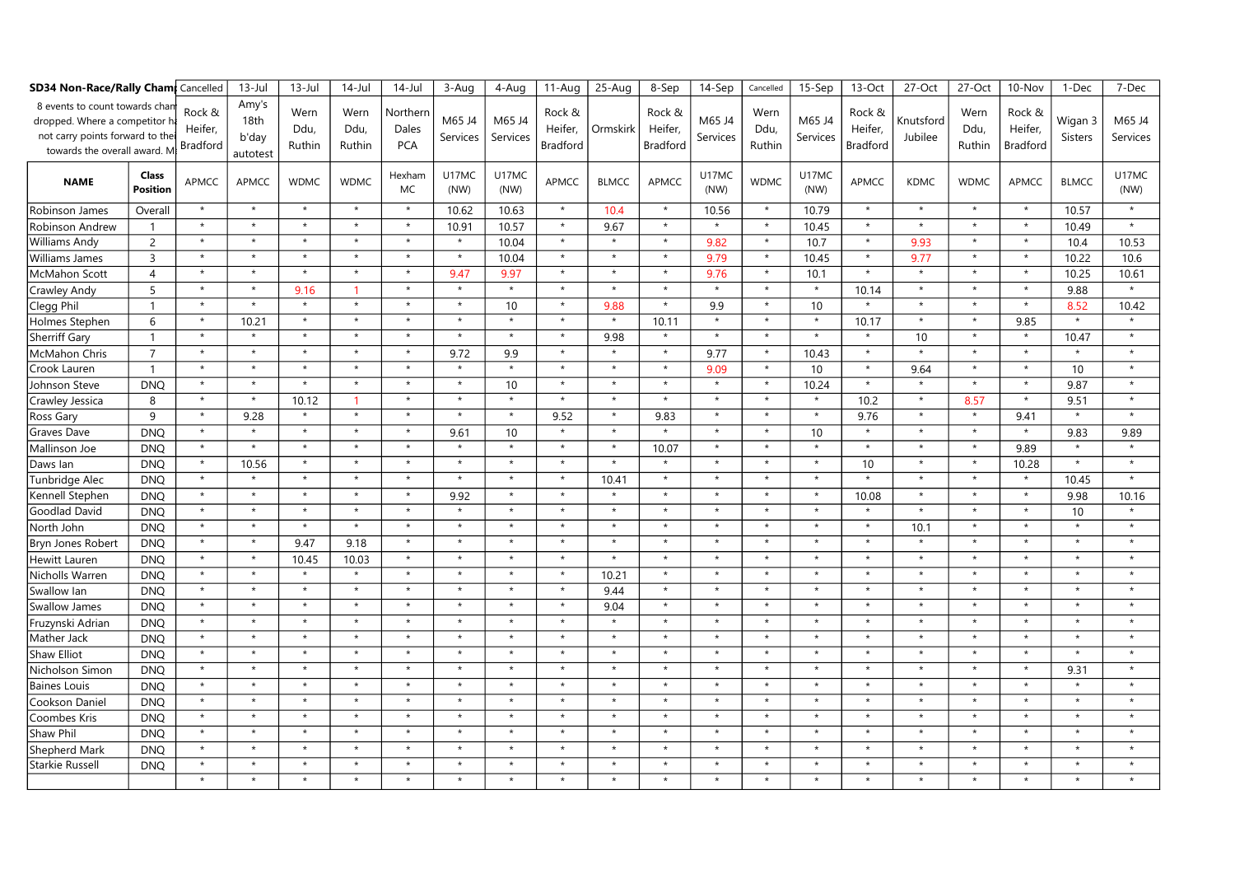| <b>SD34 Non-Race/Rally Cham</b> Cancelled                                                                                        |                          | $13$ -Jul                            | $13$ -Jul                          | $14$ -Jul              | $14$ -Jul              | 3-Aug                           | 4-Aug              | 11-Aug             | 25-Aug                               | 8-Sep        | 14-Sep                               | Cancelled          | $15-Sep$               | 13-Oct             | 27-Oct                               | 27-Oct               | 10-Nov                 | 1-Dec                                | 7-Dec                     |                    |
|----------------------------------------------------------------------------------------------------------------------------------|--------------------------|--------------------------------------|------------------------------------|------------------------|------------------------|---------------------------------|--------------------|--------------------|--------------------------------------|--------------|--------------------------------------|--------------------|------------------------|--------------------|--------------------------------------|----------------------|------------------------|--------------------------------------|---------------------------|--------------------|
| 8 events to count towards char<br>dropped. Where a competitor<br>not carry points forward to the<br>towards the overall award. M |                          | Rock &<br>Heifer,<br><b>Bradford</b> | Amy's<br>18th<br>b'day<br>autotest | Wern<br>Ddu,<br>Ruthin | Wern<br>Ddu,<br>Ruthin | Northern<br>Dales<br><b>PCA</b> | M65 J4<br>Services | M65 J4<br>Services | Rock &<br>Heifer,<br><b>Bradford</b> | Ormskirk     | Rock &<br>Heifer,<br><b>Bradford</b> | M65 J4<br>Services | Wern<br>Ddu,<br>Ruthin | M65 J4<br>Services | Rock &<br>Heifer,<br><b>Bradford</b> | Knutsford<br>Jubilee | Wern<br>Ddu,<br>Ruthin | Rock &<br>Heifer,<br><b>Bradford</b> | Wigan 3<br><b>Sisters</b> | M65 J4<br>Services |
| <b>NAME</b>                                                                                                                      | Class<br><b>Position</b> | <b>APMCC</b>                         | APMCC                              | <b>WDMC</b>            | <b>WDMC</b>            | Hexham<br><b>MC</b>             | U17MC<br>(NW)      | U17MC<br>(NW)      | <b>APMCC</b>                         | <b>BLMCC</b> | APMCC                                | U17MC<br>(NW)      | <b>WDMC</b>            | U17MC<br>(NW)      | <b>APMCC</b>                         | <b>KDMC</b>          | <b>WDMC</b>            | APMCC                                | <b>BLMCC</b>              | U17MC<br>(NW)      |
| Robinson James                                                                                                                   | Overall                  | $\star$                              | $\star$                            | $\star$                | $\star$                | $\star$                         | 10.62              | 10.63              | $\star$                              | 10.4         | $\star$                              | 10.56              | $\star$                | 10.79              | $^\star$                             | $\star$              | $\star$                | $\star$                              | 10.57                     | $\star$            |
| Robinson Andrew                                                                                                                  | $\overline{1}$           | $\star$                              | $\star$                            | $\star$                | $\star$                | $\star$                         | 10.91              | 10.57              | $\star$                              | 9.67         | $\star$                              | $\star$            | $\star$                | 10.45              | $\star$                              | $\star$              | $\star$                | $\star$                              | 10.49                     | $\star$            |
| Williams Andy                                                                                                                    | 2                        | $\star$                              | $\star$                            | $\star$                | $\star$                | $\star$                         | $\star$            | 10.04              | $\star$                              | $\star$      | $\star$                              | 9.82               | $\star$                | 10.7               | $\star$                              | 9.93                 | $\star$                | $\star$                              | 10.4                      | 10.53              |
| Williams James                                                                                                                   | $\overline{3}$           | $\star$                              | $\star$                            | $\star$                | $\star$                | $\star$                         | $\star$            | 10.04              | $\star$                              | $\star$      | $\star$                              | 9.79               | $\star$                | 10.45              | $^\star$                             | 9.77                 | $\star$                | $\star$                              | 10.22                     | 10.6               |
| McMahon Scott                                                                                                                    | $\overline{4}$           | $\star$                              | $\star$                            | $\star$                | $\star$                | $\star$                         | 9.47               | 9.97               | $\star$                              | $\star$      | $\star$                              | 9.76               | $\star$                | 10.1               | $\star$                              | $\star$              | $\star$                | $\star$                              | 10.25                     | 10.61              |
| Crawley Andy                                                                                                                     | 5                        | $\star$                              | $\star$                            | 9.16                   |                        | $\star$                         | $\star$            | $\star$            | $\star$                              | $\star$      | $\star$                              | $\star$            | $\star$                | $\star$            | 10.14                                | $\star$              | $\star$                | $\star$                              | 9.88                      | $\star$            |
| Clegg Phil                                                                                                                       | $\overline{1}$           | $\star$                              | $\star$                            | $\star$                | $\star$                | $\star$                         | $\star$            | 10                 | $\star$                              | 9.88         | $\star$                              | 9.9                | $\star$                | 10                 | $\star$                              | $\star$              | $\star$                | $\star$                              | 8.52                      | 10.42              |
| Holmes Stephen                                                                                                                   | 6                        | $\star$                              | 10.21                              | $\star$                | $\star$                | $\star$                         | $\star$            | $\star$            | $\star$                              | $\star$      | 10.11                                | $\star$            | $\star$                | $\star$            | 10.17                                | $\star$              | $\star$                | 9.85                                 | $\star$                   | $\star$            |
| Sherriff Gary                                                                                                                    | $\overline{1}$           | $\star$                              | $\star$                            | $\star$                | $\star$                | $\star$                         | $\star$            | $\star$            | $\star$                              | 9.98         | $\star$                              | $\star$            | $\star$                | $\star$            | $^\star$                             | 10                   | $\star$                | $\star$                              | 10.47                     | $\star$            |
| McMahon Chris                                                                                                                    | $\overline{7}$           | $\star$                              | $\star$                            | $\star$                | $\star$                | $\star$                         | 9.72               | 9.9                | $\star$                              | $\star$      | $\star$                              | 9.77               | $\star$                | 10.43              | $^\star$                             | $\star$              | $\star$                | $\star$                              | $\star$                   | $\star$            |
| Crook Lauren                                                                                                                     | $\overline{1}$           | $\star$                              | $\star$                            | $\star$                | $\star$                | $\star$                         | $\star$            | $\star$            | $\star$                              | $\star$      | $\star$                              | 9.09               | $\star$                | 10                 | $\star$                              | 9.64                 | $\star$                | $\star$                              | 10                        | $\star$            |
| Johnson Steve                                                                                                                    | <b>DNQ</b>               | $\star$                              | $\star$                            | $\star$                | $\star$                | $\star$                         | $\star$            | 10                 | $\star$                              | $\star$      | $\star$                              | $\star$            | $\star$                | 10.24              | $\star$                              | $\star$              | $\star$                | $\star$                              | 9.87                      | $\star$            |
| Crawley Jessica                                                                                                                  | 8                        | $\star$                              | $\star$                            | 10.12                  | $\mathbf{1}$           | $\star$                         | $\star$            | $\star$            | $\star$                              | $\star$      | $\star$                              | $\star$            | $\star$                | $\star$            | 10.2                                 | $\star$              | 8.57                   | $\star$                              | 9.51                      | $\star$            |
| Ross Gary                                                                                                                        | 9                        | $\star$                              | 9.28                               | $\star$                | $\star$                | $\star$                         | $\star$            | $\star$            | 9.52                                 | $\star$      | 9.83                                 | $\star$            | $\star$                | $\star$            | 9.76                                 | $\star$              | $\star$                | 9.41                                 | $\star$                   | $\star$            |
| Graves Dave                                                                                                                      | <b>DNQ</b>               | $\star$                              | $\star$                            | $\star$                | $\star$                | $\star$                         | 9.61               | 10                 | $\star$                              | $\star$      | $\star$                              | $\star$            | $\star$                | 10                 | $\star$                              | $\star$              | $\star$                | $\star$                              | 9.83                      | 9.89               |
| Mallinson Joe                                                                                                                    | <b>DNQ</b>               | $\star$                              | $\star$                            | $\star$                | $\star$                | $\star$                         | $\star$            | $\star$            | $\star$                              | $\star$      | 10.07                                | $\star$            | $\star$                | $\star$            | $\star$                              | $\star$              | $\star$                | 9.89                                 | $\star$                   | $\star$            |
| Daws lan                                                                                                                         | <b>DNQ</b>               | $\star$                              | 10.56                              | $\star$                | $\star$                | $\star$                         | $\star$            | $\star$            | $\star$                              | $\star$      | $\star$                              | $\star$            | $\star$                | $\star$            | 10                                   | $\star$              | $\star$                | 10.28                                | $\star$                   | $\star$            |
| Tunbridge Alec                                                                                                                   | <b>DNQ</b>               | $\star$                              | $\star$                            | $\star$                | $\star$                |                                 | $\star$            | $\star$            | $\star$                              | 10.41        | $\star$                              | $\star$            | $\star$                | $\star$            | $\star$                              | $\star$              | $\star$                | $\star$                              | 10.45                     | $\star$            |
| Kennell Stephen                                                                                                                  | <b>DNO</b>               | $\star$                              | $\star$                            | $\star$                | $\star$                | $\star$                         | 9.92               | $\star$            | $\star$                              | $\star$      | $\star$                              | $\star$            | $\star$                | $\star$            | 10.08                                | $\star$              | $\star$                | $\star$                              | 9.98                      | 10.16              |
| Goodlad David                                                                                                                    | <b>DNQ</b>               | $\star$                              | $\star$                            | $\star$                | $\star$                | $\star$                         | $\star$            | $\star$            | $\star$                              | $\star$      | $\star$                              | $\star$            | $\star$                | $\star$            | $\star$                              | $\star$              | $\star$                | $\star$                              | 10                        | $\star$            |
| North John                                                                                                                       | <b>DNQ</b>               | $\star$                              | $\star$                            | $\star$                | $\star$                | $\star$                         | $\star$            | $\star$            | $\star$                              | $\star$      | $\star$                              | $\star$            | $\star$                | $\star$            | $\star$                              | 10.1                 | $\star$                | $\star$                              | $\star$                   | $\star$            |
| Bryn Jones Robert                                                                                                                | <b>DNQ</b>               | $\star$                              | $\star$                            | 9.47                   | 9.18                   | $\star$                         | $\star$            | $\star$            | $\star$                              | $\star$      | $\star$                              | $\star$            | $\star$                | $\star$            | $\star$                              | $\star$              | $\star$                | $\star$                              | $\star$                   | $\star$            |
| Hewitt Lauren                                                                                                                    | <b>DNQ</b>               | $\star$                              | $\star$                            | 10.45                  | 10.03                  | $\star$                         | $\star$            | $\star$            | $\star$                              | $\star$      | $\star$                              | $\star$            | $\star$                | $\star$            | $\star$                              | $\star$              | $\star$                | $\star$                              | $\star$                   | $\star$            |
| Nicholls Warren                                                                                                                  | <b>DNQ</b>               | $\star$                              | $\star$                            | $\star$                | $\star$                | $\star$                         | $\star$            | $\star$            | $\star$                              | 10.21        | $\star$                              | $\star$            | $\pmb{\star}$          | $\star$            | $\star$                              | $\star$              | $\star$                | $\star$                              | $\star$                   | $\star$            |
| Swallow lan                                                                                                                      | <b>DNQ</b>               | $\star$                              | $\star$                            | $\star$                | $\star$                | $\star$                         | $\star$            | $\star$            | $\star$                              | 9.44         | $\star$                              | $\star$            | $\star$                | $\star$            | $\star$                              | $\star$              | $\star$                | $\star$                              | $\star$                   | $\star$            |
| Swallow James                                                                                                                    | <b>DNO</b>               | $\star$                              | $\star$                            | $\star$                | $\star$                | $\star$                         | $\star$            | $\star$            | $\star$                              | 9.04         | $\star$                              | $\star$            | $\star$                | $\star$            | $\star$                              | $\star$              | $\star$                | $\star$                              | $\star$                   | $\star$            |
| Fruzynski Adrian                                                                                                                 | <b>DNQ</b>               | $\star$                              | $\star$                            | $\star$                | $\star$                | $\star$                         | $\star$            | $\star$            | $\star$                              | $\star$      | $\star$                              | $\star$            | $\star$                | $\star$            | $\star$                              | $\star$              | $\star$                | $\star$                              | $\star$                   | $\star$            |
| Mather Jack                                                                                                                      | <b>DNQ</b>               | $\star$                              | $\star$                            | $\star$                | $\star$                | $\star$                         | $\star$            | $\star$            | $\star$                              | $\star$      | $\star$                              | $\star$            | $\star$                | $\star$            | $\star$                              | $\star$              | $\star$                | $\star$                              | $\star$                   | $\star$            |
| <b>Shaw Elliot</b>                                                                                                               | <b>DNQ</b>               | $\star$                              | $\star$                            | $\star$                | $\star$                | $\star$                         | $\star$            | $\star$            | $\star$                              | $\star$      | $\star$                              | $\star$            | $\star$                | $\star$            | $\star$                              | $\star$              | $\star$                | $\star$                              | $\star$                   | $\star$            |
| Nicholson Simon                                                                                                                  | <b>DNQ</b>               | $\star$                              | $\star$                            | $\star$                | $\star$                | $\star$                         | $\star$            | $\star$            | $\star$                              | $\star$      | $\star$                              | $\star$            | $\star$                | $\star$            | $\star$                              | $\star$              | $\star$                | $\star$                              | 9.31                      | $\star$            |
| <b>Baines Louis</b>                                                                                                              | <b>DNQ</b>               | $\star$                              | $\star$                            | $\star$                | $\star$                | $\star$                         | $\star$            | $\star$            | $\star$                              | $\star$      | $\star$                              | $\star$            | $\star$                | $\star$            | $\star$                              | $\star$              | $\star$                | $\star$                              | $\star$                   | $\star$            |
| Cookson Daniel                                                                                                                   | <b>DNQ</b>               | $\star$                              | $\star$                            | $\star$                | $\star$                | $\star$                         | $\star$            | $\star$            | $\star$                              | $\star$      | $\star$                              | $\star$            | $\star$                | $\star$            | $\star$                              | $\star$              | $\star$                | $\star$                              | $\star$                   | $\star$            |
| Coombes Kris                                                                                                                     | <b>DNQ</b>               | $\star$                              | $\star$                            | $\star$                | $\star$                |                                 | $\star$            | $\star$            | $\star$                              | $\star$      | $\star$                              | $\star$            | $\star$                | $\star$            | $\star$                              | $\star$              | $\star$                | $\star$                              | $\star$                   | $\star$            |
| Shaw Phil                                                                                                                        | <b>DNQ</b>               | $\star$                              | $\star$                            | $\star$                | $\star$                | $\star$                         | $\star$            | $\star$            | $\star$                              | $\star$      | $\star$                              | $\star$            | $\star$                | $\star$            | $\star$                              | $\star$              | $\star$                | $\star$                              | $\star$                   | $\star$            |
| Shepherd Mark                                                                                                                    | <b>DNQ</b>               | $\star$                              | $\star$                            | $\star$                | $\star$                | $\star$                         | $\star$            | $\star$            | $\star$                              | $\star$      | $\star$                              | $\star$            | $\star$                | $\star$            | $\star$                              | $\star$              | $\star$                | $\star$                              | $\star$                   | $\star$            |
| Starkie Russell                                                                                                                  | <b>DNQ</b>               | $\star$                              | $\star$                            | $\star$                | $\star$                | $\star$                         | $\star$            | $\star$            | $\star$                              | $\star$      | $\star$                              | $\star$            | $\star$                | $\star$            | $\star$                              | $\star$              | $\star$                | $\star$                              | $\star$                   | $\star$            |
|                                                                                                                                  |                          | $\star$                              | $\star$                            | $\star$                | $\star$                | $\star$                         | $\star$            | $\star$            |                                      | $\star$      | $\star$                              | $\star$            | $\star$                | $\star$            | $\star$                              | $\star$              | $\star$                | $\star$                              |                           |                    |